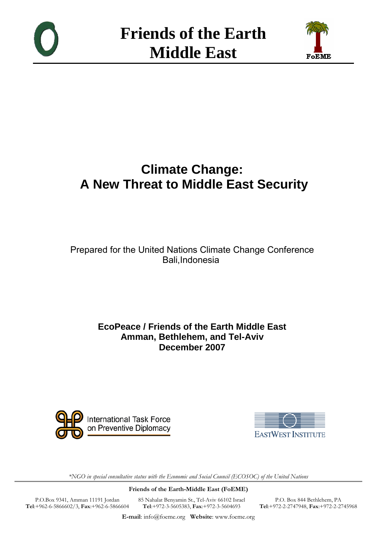



# **Climate Change: A New Threat to Middle East Security**

Prepared for the United Nations Climate Change Conference Bali,Indonesia

## **EcoPeace / Friends of the Earth Middle East Amman, Bethlehem, and Tel-Aviv December 2007**





\*NGO in special consultative status with the Economic and Social Council (ECOSOC) of the United Nations

Friends of the Earth-Middle East (FoEME)

P.O.Box 9341, Amman 11191 Jordan Tel:+962-6-5866602/3, Fax:+962-6-5866604 85 Nahalat Benyamin St., Tel-Aviv 66102 Israel Tel:+972-3-5605383, Fax:+972-3-5604693

P.O. Box 844 Bethlehem, PA Tel:+972-2-2747948, Fax:+972-2-2745968

E-mail: info@foeme.org Website: www.foeme.org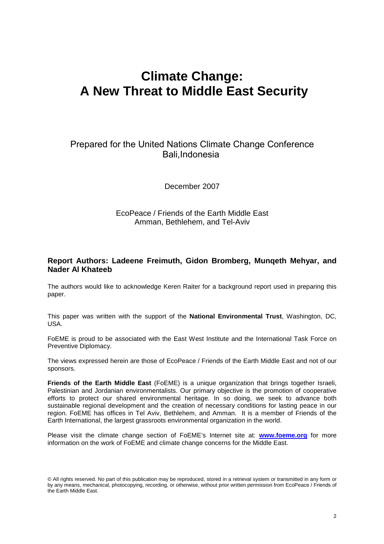# **Climate Change: A New Threat to Middle East Security**

## Prepared for the United Nations Climate Change Conference Bali,Indonesia

December 2007

#### EcoPeace / Friends of the Earth Middle East Amman, Bethlehem, and Tel-Aviv

#### **Report Authors: Ladeene Freimuth, Gidon Bromberg, Munqeth Mehyar, and Nader Al Khateeb**

The authors would like to acknowledge Keren Raiter for a background report used in preparing this paper.

This paper was written with the support of the **National Environmental Trust**, Washington, DC, USA.

FoEME is proud to be associated with the East West Institute and the International Task Force on Preventive Diplomacy.

The views expressed herein are those of EcoPeace / Friends of the Earth Middle East and not of our sponsors.

**Friends of the Earth Middle East** (FoEME) is a unique organization that brings together Israeli, Palestinian and Jordanian environmentalists. Our primary objective is the promotion of cooperative efforts to protect our shared environmental heritage. In so doing, we seek to advance both sustainable regional development and the creation of necessary conditions for lasting peace in our region. FoEME has offices in Tel Aviv, Bethlehem, and Amman. It is a member of Friends of the Earth International, the largest grassroots environmental organization in the world.

Please visit the climate change section of FoEME's Internet site at: **www.foeme.org** for more information on the work of FoEME and climate change concerns for the Middle East.

<sup>©</sup> All rights reserved. No part of this publication may be reproduced, stored in a retrieval system or transmitted in any form or by any means, mechanical, photocopying, recording, or otherwise, without prior written permission from EcoPeace / Friends of the Earth Middle East.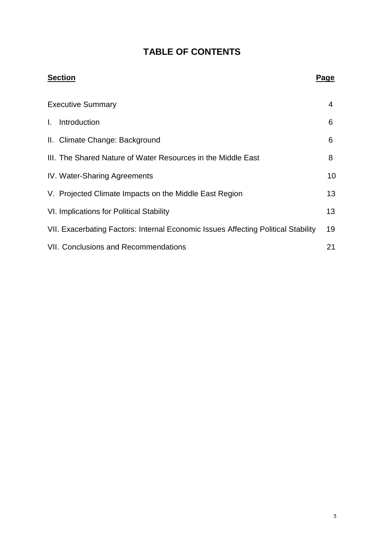# **TABLE OF CONTENTS**

| <b>Section</b>                                                                    | Page |
|-----------------------------------------------------------------------------------|------|
| <b>Executive Summary</b>                                                          | 4    |
| Introduction<br>$\mathbf{L}$                                                      | 6    |
| II. Climate Change: Background                                                    | 6    |
| III. The Shared Nature of Water Resources in the Middle East                      | 8    |
| <b>IV. Water-Sharing Agreements</b>                                               | 10   |
| V. Projected Climate Impacts on the Middle East Region                            | 13   |
| VI. Implications for Political Stability                                          | 13   |
| VII. Exacerbating Factors: Internal Economic Issues Affecting Political Stability | 19   |
| <b>VII. Conclusions and Recommendations</b>                                       | 21   |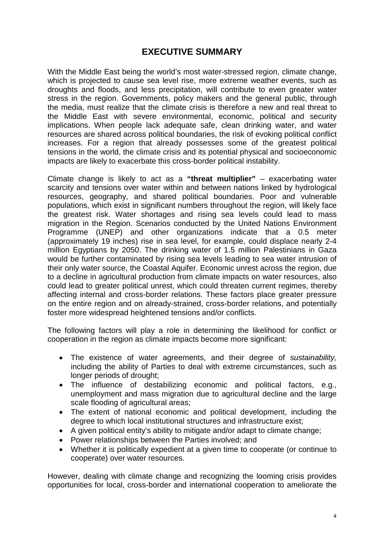## **EXECUTIVE SUMMARY**

With the Middle East being the world's most water-stressed region, climate change, which is projected to cause sea level rise, more extreme weather events, such as droughts and floods, and less precipitation, will contribute to even greater water stress in the region. Governments, policy makers and the general public, through the media, must realize that the climate crisis is therefore a new and real threat to the Middle East with severe environmental, economic, political and security implications. When people lack adequate safe, clean drinking water, and water resources are shared across political boundaries, the risk of evoking political conflict increases. For a region that already possesses some of the greatest political tensions in the world, the climate crisis and its potential physical and socioeconomic impacts are likely to exacerbate this cross-border political instability.

Climate change is likely to act as a **"threat multiplier"** – exacerbating water scarcity and tensions over water within and between nations linked by hydrological resources, geography, and shared political boundaries. Poor and vulnerable populations, which exist in significant numbers throughout the region, will likely face the greatest risk. Water shortages and rising sea levels could lead to mass migration in the Region. Scenarios conducted by the United Nations Environment Programme (UNEP) and other organizations indicate that a 0.5 meter (approximately 19 inches) rise in sea level, for example, could displace nearly 2-4 million Egyptians by 2050. The drinking water of 1.5 million Palestinians in Gaza would be further contaminated by rising sea levels leading to sea water intrusion of their only water source, the Coastal Aquifer. Economic unrest across the region, due to a decline in agricultural production from climate impacts on water resources, also could lead to greater political unrest, which could threaten current regimes, thereby affecting internal and cross-border relations. These factors place greater pressure on the entire region and on already-strained, cross-border relations, and potentially foster more widespread heightened tensions and/or conflicts.

The following factors will play a role in determining the likelihood for conflict or cooperation in the region as climate impacts become more significant:

- The existence of water agreements, and their degree of sustainability, including the ability of Parties to deal with extreme circumstances, such as longer periods of drought;
- The influence of destabilizing economic and political factors, e.g., unemployment and mass migration due to agricultural decline and the large scale flooding of agricultural areas;
- The extent of national economic and political development, including the degree to which local institutional structures and infrastructure exist;
- A given political entity's ability to mitigate and/or adapt to climate change;
- Power relationships between the Parties involved; and
- Whether it is politically expedient at a given time to cooperate (or continue to cooperate) over water resources.

However, dealing with climate change and recognizing the looming crisis provides opportunities for local, cross-border and international cooperation to ameliorate the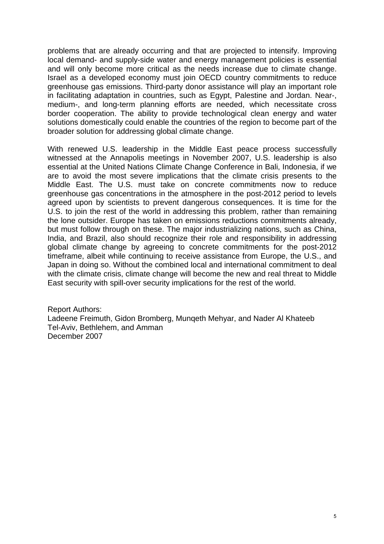problems that are already occurring and that are projected to intensify. Improving local demand- and supply-side water and energy management policies is essential and will only become more critical as the needs increase due to climate change. Israel as a developed economy must join OECD country commitments to reduce greenhouse gas emissions. Third-party donor assistance will play an important role in facilitating adaptation in countries, such as Egypt, Palestine and Jordan. Near-, medium-, and long-term planning efforts are needed, which necessitate cross border cooperation. The ability to provide technological clean energy and water solutions domestically could enable the countries of the region to become part of the broader solution for addressing global climate change.

With renewed U.S. leadership in the Middle East peace process successfully witnessed at the Annapolis meetings in November 2007, U.S. leadership is also essential at the United Nations Climate Change Conference in Bali, Indonesia, if we are to avoid the most severe implications that the climate crisis presents to the Middle East. The U.S. must take on concrete commitments now to reduce greenhouse gas concentrations in the atmosphere in the post-2012 period to levels agreed upon by scientists to prevent dangerous consequences. It is time for the U.S. to join the rest of the world in addressing this problem, rather than remaining the lone outsider. Europe has taken on emissions reductions commitments already, but must follow through on these. The major industrializing nations, such as China, India, and Brazil, also should recognize their role and responsibility in addressing global climate change by agreeing to concrete commitments for the post-2012 timeframe, albeit while continuing to receive assistance from Europe, the U.S., and Japan in doing so. Without the combined local and international commitment to deal with the climate crisis, climate change will become the new and real threat to Middle East security with spill-over security implications for the rest of the world.

Report Authors: Ladeene Freimuth, Gidon Bromberg, Munqeth Mehyar, and Nader Al Khateeb Tel-Aviv, Bethlehem, and Amman December 2007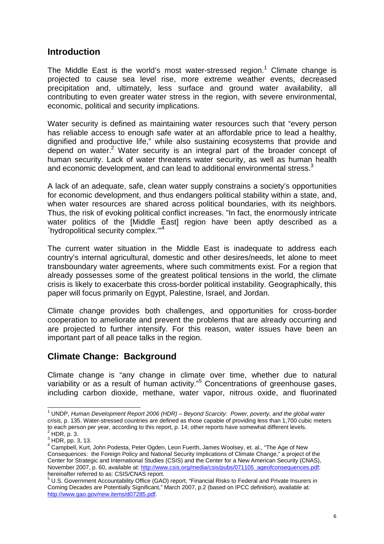## **Introduction**

The Middle East is the world's most water-stressed region.<sup>1</sup> Climate change is projected to cause sea level rise, more extreme weather events, decreased precipitation and, ultimately, less surface and ground water availability, all contributing to even greater water stress in the region, with severe environmental, economic, political and security implications.

Water security is defined as maintaining water resources such that "every person has reliable access to enough safe water at an affordable price to lead a healthy, dignified and productive life," while also sustaining ecosystems that provide and depend on water.<sup>2</sup> Water security is an integral part of the broader concept of human security. Lack of water threatens water security, as well as human health and economic development, and can lead to additional environmental stress. $3$ 

A lack of an adequate, safe, clean water supply constrains a society's opportunities for economic development, and thus endangers political stability within a state, and, when water resources are shared across political boundaries, with its neighbors. Thus, the risk of evoking political conflict increases. "In fact, the enormously intricate water politics of the [Middle East] region have been aptly described as a `hydropolitical security complex.'"<sup>4</sup>

The current water situation in the Middle East is inadequate to address each country's internal agricultural, domestic and other desires/needs, let alone to meet transboundary water agreements, where such commitments exist. For a region that already possesses some of the greatest political tensions in the world, the climate crisis is likely to exacerbate this cross-border political instability. Geographically, this paper will focus primarily on Egypt, Palestine, Israel, and Jordan.

Climate change provides both challenges, and opportunities for cross-border cooperation to ameliorate and prevent the problems that are already occurring and are projected to further intensify. For this reason, water issues have been an important part of all peace talks in the region.

## **Climate Change: Background**

Climate change is "any change in climate over time, whether due to natural variability or as a result of human activity."<sup>5</sup> Concentrations of greenhouse gases, including carbon dioxide, methane, water vapor, nitrous oxide, and fluorinated

 1 UNDP, Human Development Report 2006 (HDR) – Beyond Scarcity: Power, poverty, and the global water crisis, p. 135. Water-stressed countries are defined as those capable of providing less than 1,700 cubic meters to each person per year, according to this report, p. 14; other reports have somewhat different levels.  $<sup>2</sup>$  HDR, p. 3.</sup>

 $3$  HDR, pp. 3, 13.

<sup>&</sup>lt;sup>4</sup> Campbell, Kurt, John Podesta, Peter Ogden, Leon Fuerth, James Woolsey, et. al., "The Age of New Consequences: the Foreign Policy and National Security Implications of Climate Change," a project of the Center for Strategic and International Studies (CSIS) and the Center for a New American Security (CNAS), November 2007, p. 60, available at: http://www.csis.org/media/csis/pubs/071105\_ageofconsequences.pdf; hereinafter referred to as: CSIS/CNAS report.

<sup>&</sup>lt;sup>5</sup> U.S. Government Accountability Office (GAO) report, "Financial Risks to Federal and Private Insurers in Coming Decades are Potentially Significant," March 2007, p.2 (based on IPCC definition), available at: http://www.gao.gov/new.items/d07285.pdf.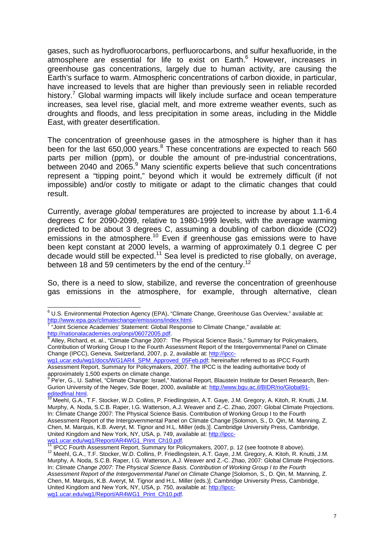gases, such as hydrofluorocarbons, perfluorocarbons, and sulfur hexafluoride, in the atmosphere are essential for life to exist on Earth. 6 However, increases in greenhouse gas concentrations, largely due to human activity, are causing the Earth's surface to warm. Atmospheric concentrations of carbon dioxide, in particular, have increased to levels that are higher than previously seen in reliable recorded history.<sup>7</sup> Global warming impacts will likely include surface and ocean temperature increases, sea level rise, glacial melt, and more extreme weather events, such as droughts and floods, and less precipitation in some areas, including in the Middle East, with greater desertification.

The concentration of greenhouse gases in the atmosphere is higher than it has been for the last  $650,000$  years. $8$  These concentrations are expected to reach 560 parts per million (ppm), or double the amount of pre-industrial concentrations, between 2040 and 2065.<sup>9</sup> Many scientific experts believe that such concentrations represent a "tipping point," beyond which it would be extremely difficult (if not impossible) and/or costly to mitigate or adapt to the climatic changes that could result.

Currently, average global temperatures are projected to increase by about 1.1-6.4 degrees C for 2090-2099, relative to 1980-1999 levels, with the average warming predicted to be about 3 degrees C, assuming a doubling of carbon dioxide (CO2) emissions in the atmosphere.<sup>10</sup> Even if greenhouse gas emissions were to have been kept constant at 2000 levels, a warming of approximately 0.1 degree C per decade would still be expected.<sup>11</sup> Sea level is predicted to rise globally, on average, between 18 and 59 centimeters by the end of the century.<sup>12</sup>

So, there is a need to slow, stabilize, and reverse the concentration of greenhouse gas emissions in the atmosphere, for example, through alternative, clean

<sup>11</sup> IPCC Fourth Assessment Report, Summary for Policymakers, 2007, p. 12 (see footnote 8 above).

 6 U.S. Environmental Protection Agency (EPA), "Climate Change, Greenhouse Gas Overview," available at: http://www.epa.gov/climatechange/emissions/index.html.<br>7 " Joint Sejenes, Asedemies' Statement: Clebel Besneppe

 <sup>&</sup>quot;Joint Science Academies' Statement: Global Response to Climate Change," available at: <u>http://nationalacademies.org/onpi/06072005.pdf</u>.<br><sup>8</sup> Alley, Richard, et. al., "Climate Change 2007: The Physical Science Basis," Summary for Policymakers,

Contribution of Working Group I to the Fourth Assessment Report of the Intergovernmental Panel on Climate Change (IPCC), Geneva, Switzerland, 2007, p. 2, available at: http://ipcc-

wg1.ucar.edu/wg1/docs/WG1AR4\_SPM\_Approved\_05Feb.pdf; hereinafter referred to as IPCC Fourth Assessment Report, Summary for Policymakers, 2007. The IPCC is the leading authoritative body of approximately 1,500 experts on climate change.

<sup>9</sup> Pe'er, G., U. Safriel, "Climate Change: Israel," National Report, Blaustein Institute for Desert Research, Ben-Gurion University of the Negev, Sde Boqer, 2000, available at: http://www.bgu.ac.il/BIDR/rio/Global91editedfinal.html.

<sup>&</sup>lt;sup>10</sup> Meehl, G.A., T.F. Stocker, W.D. Collins, P. Friedlingstein, A.T. Gaye, J.M. Gregory, A. Kitoh, R. Knutti, J.M. Murphy, A. Noda, S.C.B. Raper, I.G. Watterson, A.J. Weaver and Z.-C. Zhao, 2007: Global Climate Projections. In: Climate Change 2007: The Physical Science Basis. Contribution of Working Group I to the Fourth Assessment Report of the Intergovernmental Panel on Climate Change [Solomon, S., D. Qin, M. Manning, Z. Chen, M. Marquis, K.B. Averyt, M. Tignor and H.L. Miller (eds.)]. Cambridge University Press, Cambridge, United Kingdom and New York, NY, USA, p. 749, available at: http://ipccwg1.ucar.edu/wg1/Report/AR4WG1\_Print\_Ch10.pdf.

<sup>&</sup>lt;sup>12</sup> Meehl, G.A., T.F. Stocker, W.D. Collins, P. Friedlingstein, A.T. Gaye, J.M. Gregory, A. Kitoh, R. Knutti, J.M. Murphy, A. Noda, S.C.B. Raper, I.G. Watterson, A.J. Weaver and Z.-C. Zhao, 2007: Global Climate Projections. In: Climate Change 2007: The Physical Science Basis. Contribution of Working Group I to the Fourth Assessment Report of the Intergovernmental Panel on Climate Change [Solomon, S., D. Qin, M. Manning, Z. Chen, M. Marquis, K.B. Averyt, M. Tignor and H.L. Miller (eds.)]. Cambridge University Press, Cambridge, United Kingdom and New York, NY, USA, p. 750, available at: http://ipccwg1.ucar.edu/wg1/Report/AR4WG1\_Print\_Ch10.pdf.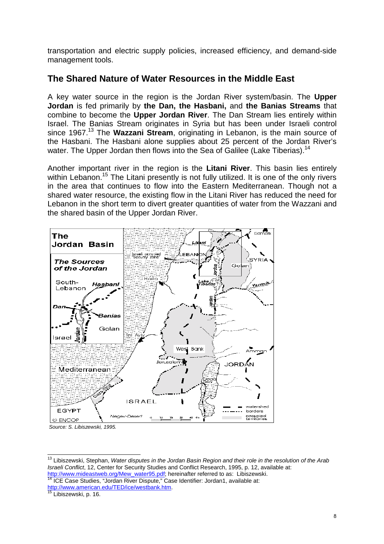transportation and electric supply policies, increased efficiency, and demand-side management tools.

## **The Shared Nature of Water Resources in the Middle East**

A key water source in the region is the Jordan River system/basin. The **Upper Jordan** is fed primarily by **the Dan, the Hasbani,** and **the Banias Streams** that combine to become the **Upper Jordan River**. The Dan Stream lies entirely within Israel. The Banias Stream originates in Syria but has been under Israeli control since 1967.<sup>13</sup> The **Wazzani Stream**, originating in Lebanon, is the main source of the Hasbani. The Hasbani alone supplies about 25 percent of the Jordan River's water. The Upper Jordan then flows into the Sea of Galilee (Lake Tiberias).<sup>14</sup>

Another important river in the region is the **Litani River**. This basin lies entirely within Lebanon.<sup>15</sup> The Litani presently is not fully utilized. It is one of the only rivers in the area that continues to flow into the Eastern Mediterranean. Though not a shared water resource, the existing flow in the Litani River has reduced the need for Lebanon in the short term to divert greater quantities of water from the Wazzani and the shared basin of the Upper Jordan River.



Source: S. Libiszewski, 1995.

<sup>15</sup> Libiszewski, p. 16.

 $\overline{\phantom{a}}$ 

<sup>&</sup>lt;sup>13</sup> Libiszewski, Stephan, Water disputes in the Jordan Basin Region and their role in the resolution of the Arab Israeli Conflict, 12, Center for Security Studies and Conflict Research, 1995, p. 12, available at: http://www.mideastweb.org/Mew\_water95.pdf; hereinafter referred to as: Libiszewski.

<sup>14</sup> ICE Case Studies, "Jordan River Dispute," Case Identifier: Jordan1, available at: http://www.american.edu/TED/ice/westbank.htm.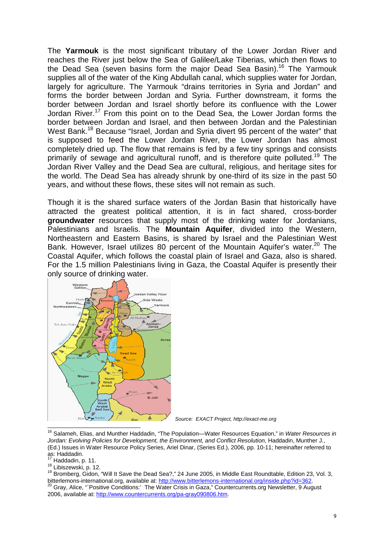The **Yarmouk** is the most significant tributary of the Lower Jordan River and reaches the River just below the Sea of Galilee/Lake Tiberias, which then flows to the Dead Sea (seven basins form the major Dead Sea Basin).<sup>16</sup> The Yarmouk supplies all of the water of the King Abdullah canal, which supplies water for Jordan, largely for agriculture. The Yarmouk "drains territories in Syria and Jordan" and forms the border between Jordan and Syria. Further downstream, it forms the border between Jordan and Israel shortly before its confluence with the Lower Jordan River.<sup>17</sup> From this point on to the Dead Sea, the Lower Jordan forms the border between Jordan and Israel, and then between Jordan and the Palestinian West Bank.<sup>18</sup> Because "Israel, Jordan and Syria divert 95 percent of the water" that is supposed to feed the Lower Jordan River, the Lower Jordan has almost completely dried up. The flow that remains is fed by a few tiny springs and consists primarily of sewage and agricultural runoff, and is therefore quite polluted.<sup>19</sup> The Jordan River Valley and the Dead Sea are cultural, religious, and heritage sites for the world. The Dead Sea has already shrunk by one-third of its size in the past 50 years, and without these flows, these sites will not remain as such.

Though it is the shared surface waters of the Jordan Basin that historically have attracted the greatest political attention, it is in fact shared, cross-border **groundwater** resources that supply most of the drinking water for Jordanians, Palestinians and Israelis. The **Mountain Aquifer**, divided into the Western, Northeastern and Eastern Basins, is shared by Israel and the Palestinian West Bank. However, Israel utilizes 80 percent of the Mountain Aquifer's water.<sup>20</sup> The Coastal Aquifer, which follows the coastal plain of Israel and Gaza, also is shared. For the 1.5 million Palestinians living in Gaza, the Coastal Aquifer is presently their only source of drinking water.



Source: EXACT Project, http://exact-me.org

 $17$  Haddadin, p. 11.

18 Libiszewski, p. 12.

<sup>19</sup> Bromberg, Gidon, "Will It Save the Dead Sea?," 24 June 2005, in Middle East Roundtable, Edition 23, Vol. 3, bitterlemons-international.org, available at: http://www.bitterlemons-international.org/inside.php?id=362. Gray, Alice, "`Positive Conditions:' The Water Crisis in Gaza," Countercurrents.org Newsletter. 9 August 2006, available at: http://www.countercurrents.org/pa-gray090806.htm.

<sup>&</sup>lt;sup>16</sup> Salameh, Elias, and Munther Haddadin, "The Population—Water Resources Equation," in Water Resources in Jordan: Evolving Policies for Development, the Environment, and Conflict Resolution, Haddadin, Munther J., (Ed.) Issues in Water Resource Policy Series, Ariel Dinar, (Series Ed.), 2006, pp. 10-11; hereinafter referred to as: Haddadin.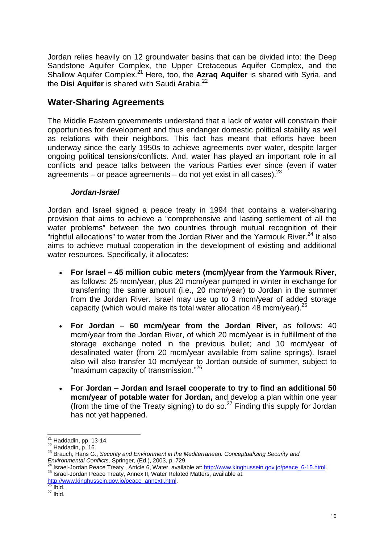Jordan relies heavily on 12 groundwater basins that can be divided into: the Deep Sandstone Aquifer Complex, the Upper Cretaceous Aquifer Complex, and the Shallow Aquifer Complex.<sup>21</sup> Here, too, the **Azraq Aquifer** is shared with Syria, and the **Disi Aquifer** is shared with Saudi Arabia.<sup>22</sup>

## **Water-Sharing Agreements**

The Middle Eastern governments understand that a lack of water will constrain their opportunities for development and thus endanger domestic political stability as well as relations with their neighbors. This fact has meant that efforts have been underway since the early 1950s to achieve agreements over water, despite larger ongoing political tensions/conflicts. And, water has played an important role in all conflicts and peace talks between the various Parties ever since (even if water agreements – or peace agreements – do not yet exist in all cases).  $23$ 

#### **Jordan-Israel**

Jordan and Israel signed a peace treaty in 1994 that contains a water-sharing provision that aims to achieve a "comprehensive and lasting settlement of all the water problems" between the two countries through mutual recognition of their "rightful allocations" to water from the Jordan River and the Yarmouk River. $^{24}$  It also aims to achieve mutual cooperation in the development of existing and additional water resources. Specifically, it allocates:

- **For Israel – 45 million cubic meters (mcm)/year from the Yarmouk River,** as follows: 25 mcm/year, plus 20 mcm/year pumped in winter in exchange for transferring the same amount (i.e., 20 mcm/year) to Jordan in the summer from the Jordan River. Israel may use up to 3 mcm/year of added storage capacity (which would make its total water allocation 48 mcm/year).  $25$
- **For Jordan 60 mcm/year from the Jordan River,** as follows: 40 mcm/year from the Jordan River, of which 20 mcm/year is in fulfillment of the storage exchange noted in the previous bullet; and 10 mcm/year of desalinated water (from 20 mcm/year available from saline springs). Israel also will also transfer 10 mcm/year to Jordan outside of summer, subject to "maximum capacity of transmission."<sup>26</sup>
- **For Jordan Jordan and Israel cooperate to try to find an additional 50 mcm/year of potable water for Jordan,** and develop a plan within one year (from the time of the Treaty signing) to do so.<sup>27</sup> Finding this supply for Jordan has not yet happened.

l  $21$  Haddadin, pp. 13-14.

 $22$  Haddadin, p. 16.

 $^{23}$  Brauch, Hans G., Security and Environment in the Mediterranean: Conceptualizing Security and Environmental Conflicts, Springer, (Ed.), 2003, p. 729. 24 Israel-Jordan Peace Treaty , Article 6, Water, available at: http://www.kinghussein.gov.jo/peace\_6-15.html.<br>24 Israel-Jordan Peace Treaty , Article 6, Water, available at: http://www.kinghussein.gov.jo/peace\_6-15.html.

<sup>25</sup> Israel-Jordan Peace Treaty, Annex II, Water Related Matters, available at:

http://www.kinghussein.gov.jo/peace\_annexII.html.<br>28 u.: Ibid.

 $27$  lbid.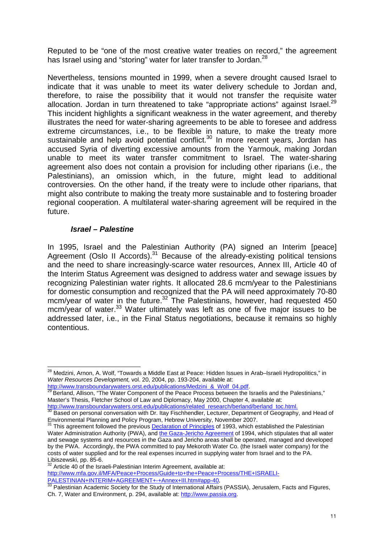Reputed to be "one of the most creative water treaties on record," the agreement has Israel using and "storing" water for later transfer to Jordan.<sup>28</sup>

Nevertheless, tensions mounted in 1999, when a severe drought caused Israel to indicate that it was unable to meet its water delivery schedule to Jordan and, therefore, to raise the possibility that it would not transfer the requisite water allocation. Jordan in turn threatened to take "appropriate actions" against Israel. $^{29}$ This incident highlights a significant weakness in the water agreement, and thereby illustrates the need for water-sharing agreements to be able to foresee and address extreme circumstances, i.e., to be flexible in nature, to make the treaty more sustainable and help avoid potential conflict.<sup>30</sup> In more recent years, Jordan has accused Syria of diverting excessive amounts from the Yarmouk, making Jordan unable to meet its water transfer commitment to Israel. The water-sharing agreement also does not contain a provision for including other riparians (i.e., the Palestinians), an omission which, in the future, might lead to additional controversies. On the other hand, if the treaty were to include other riparians, that might also contribute to making the treaty more sustainable and to fostering broader regional cooperation. A multilateral water-sharing agreement will be required in the future.

#### **Israel – Palestine**

In 1995, Israel and the Palestinian Authority (PA) signed an Interim [peace] Agreement (Oslo II Accords).<sup>31</sup> Because of the already-existing political tensions and the need to share increasingly-scarce water resources, Annex III, Article 40 of the Interim Status Agreement was designed to address water and sewage issues by recognizing Palestinian water rights. It allocated 28.6 mcm/year to the Palestinians for domestic consumption and recognized that the PA will need approximately 70-80 mcm/year of water in the future.<sup>32</sup> The Palestinians, however, had requested 450 mcm/year of water.<sup>33</sup> Water ultimately was left as one of five major issues to be addressed later, i.e., in the Final Status negotiations, because it remains so highly contentious.

http://www.transboundarywaters.orst.edu/publications/Medzini\_&\_Wolf\_04.pdf.

<sup>29</sup> Berland, Allison, "The Water Component of the Peace Process between the Israelis and the Palestinians," Master's Thesis, Fletcher School of Law and Diplomacy, May 2000, Chapter 4, available at: http://www.transboundarywaters.orst.edu/publications/related\_research/berland/berland\_toc.html.

Article 40 of the Israeli-Palestinian Interim Agreement, available at: http://www.mfa.gov.il/MFA/Peace+Process/Guide+to+the+Peace+Process/THE+ISRAELI-PALESTINIAN+INTERIM+AGREEMENT+-+Annex+III.htm#app-40.

 $\overline{a}$ <sup>28</sup> Medzini, Arnon, A. Wolf, "Towards a Middle East at Peace: Hidden Issues in Arab–Israeli Hydropolitics," in Water Resources Development, vol. 20, 2004, pp. 193-204, available at:

 $30$  Based on personal conversation with Dr. Itay Fischhendler, Lecturer, Department of Geography, and Head of Environmental Planning and Policy Program, Hebrew University, November 2007.

<sup>&</sup>lt;sup>31</sup> This agreement followed the previous Declaration of Principles of 1993, which established the Palestinian Water Administration Authority (PWA), and the Gaza-Jericho Agreement of 1994, which stipulates that all water and sewage systems and resources in the Gaza and Jericho areas shall be operated, managed and developed by the PWA. Accordingly, the PWA committed to pay Mekoroth Water Co. (the Israeli water company) for the costs of water supplied and for the real expenses incurred in supplying water from Israel and to the PA. Libiszewski, pp. 85-6.

 $\frac{33}{33}$  Palestinian Academic Society for the Study of International Affairs (PASSIA), Jerusalem, Facts and Figures, Ch. 7, Water and Environment, p. 294, available at: http://www.passia.org.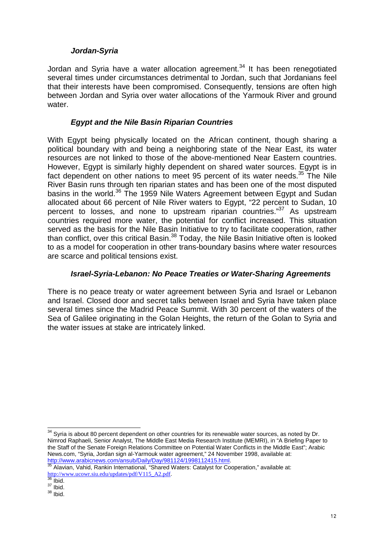#### **Jordan-Syria**

Jordan and Syria have a water allocation agreement.<sup>34</sup> It has been renegotiated several times under circumstances detrimental to Jordan, such that Jordanians feel that their interests have been compromised. Consequently, tensions are often high between Jordan and Syria over water allocations of the Yarmouk River and ground water.

#### **Egypt and the Nile Basin Riparian Countries**

With Egypt being physically located on the African continent, though sharing a political boundary with and being a neighboring state of the Near East, its water resources are not linked to those of the above-mentioned Near Eastern countries. However, Egypt is similarly highly dependent on shared water sources. Egypt is in fact dependent on other nations to meet 95 percent of its water needs. $35$  The Nile River Basin runs through ten riparian states and has been one of the most disputed basins in the world.<sup>36</sup> The 1959 Nile Waters Agreement between Egypt and Sudan allocated about 66 percent of Nile River waters to Egypt, "22 percent to Sudan, 10 percent to losses, and none to upstream riparian countries."<sup>37</sup> As upstream countries required more water, the potential for conflict increased. This situation served as the basis for the Nile Basin Initiative to try to facilitate cooperation, rather than conflict, over this critical Basin.<sup>38</sup> Today, the Nile Basin Initiative often is looked to as a model for cooperation in other trans-boundary basins where water resources are scarce and political tensions exist.

### **Israel-Syria-Lebanon: No Peace Treaties or Water-Sharing Agreements**

There is no peace treaty or water agreement between Syria and Israel or Lebanon and Israel. Closed door and secret talks between Israel and Syria have taken place several times since the Madrid Peace Summit. With 30 percent of the waters of the Sea of Galilee originating in the Golan Heights, the return of the Golan to Syria and the water issues at stake are intricately linked.

l

 $34$  Syria is about 80 percent dependent on other countries for its renewable water sources, as noted by Dr. Nimrod Raphaeli, Senior Analyst, The Middle East Media Research Institute (MEMRI), in "A Briefing Paper to the Staff of the Senate Foreign Relations Committee on Potential Water Conflicts in the Middle East"; Arabic News.com, "Syria, Jordan sign al-Yarmouk water agreement," 24 November 1998, available at: http://www.arabicnews.com/ansub/Daily/Day/981124/1998112415.html.

<sup>&</sup>lt;sup>35</sup> Alavian, Vahid, Rankin International, "Shared Waters: Catalyst for Cooperation," available at: http://www.ucowr.siu.edu/updates/pdf/V115\_A2.pdf.

 $\delta$  Ibid.

 $37$  Ibid.

 $38$  Ibid.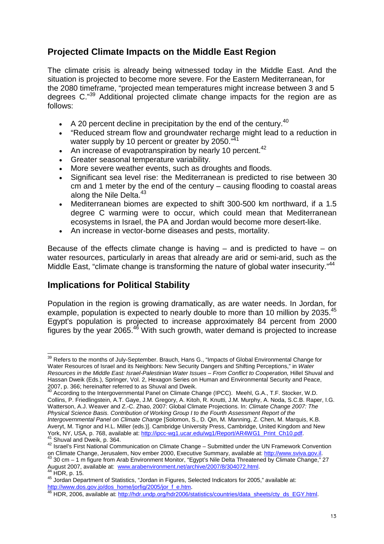# **Projected Climate Impacts on the Middle East Region**

The climate crisis is already being witnessed today in the Middle East. And the situation is projected to become more severe. For the Eastern Mediterranean, for the 2080 timeframe, "projected mean temperatures might increase between 3 and 5 degrees C."<sup>39</sup> Additional projected climate change impacts for the region are as follows:

- A 20 percent decline in precipitation by the end of the century.<sup>40</sup>
- "Reduced stream flow and groundwater recharge might lead to a reduction in water supply by 10 percent or greater by 2050. $\mathbb{R}^{41}$
- An increase of evapotranspiration by nearly 10 percent. $42$
- Greater seasonal temperature variability.
- More severe weather events, such as droughts and floods.
- Significant sea level rise: the Mediterranean is predicted to rise between 30 cm and 1 meter by the end of the century – causing flooding to coastal areas along the Nile Delta.<sup>43</sup>
- Mediterranean biomes are expected to shift 300-500 km northward, if a 1.5 degree C warming were to occur, which could mean that Mediterranean ecosystems in Israel, the PA and Jordan would become more desert-like.
- An increase in vector-borne diseases and pests, mortality.

Because of the effects climate change is having  $-$  and is predicted to have  $-$  on water resources, particularly in areas that already are arid or semi-arid, such as the Middle East, "climate change is transforming the nature of global water insecurity."<sup>44</sup>

## **Implications for Political Stability**

 $\overline{a}$ 

Population in the region is growing dramatically, as are water needs. In Jordan, for example, population is expected to nearly double to more than 10 million by 2035.<sup>45</sup> Egypt's population is projected to increase approximately 84 percent from 2000 Figures by the year 2065.<sup>46</sup> With such growth, water demand is projected to increase

40 According to the Intergovernmental Panel on Climate Change (IPCC). Meehl, G.A., T.F. Stocker, W.D. Collins, P. Friedlingstein, A.T. Gaye, J.M. Gregory, A. Kitoh, R. Knutti, J.M. Murphy, A. Noda, S.C.B. Raper, I.G. Watterson, A.J. Weaver and Z.-C. Zhao, 2007: Global Climate Projections. In: Climate Change 2007: The Physical Science Basis. Contribution of Working Group I to the Fourth Assessment Report of the Intergovernmental Panel on Climate Change [Solomon, S., D. Qin, M. Manning, Z. Chen, M. Marquis, K.B. Averyt, M. Tignor and H.L. Miller (eds.)]. Cambridge University Press, Cambridge, United Kingdom and New York, NY, USA, p. 768, available at: http://ipcc-wg1.ucar.edu/wg1/Report/AR4WG1\_Print\_Ch10.pdf.  $41$  Shuval and Dweik, p. 364.

 $39$  Refers to the months of July-September. Brauch, Hans G., "Impacts of Global Environmental Change for Water Resources of Israel and its Neighbors: New Security Dangers and Shifting Perceptions," in Water Resources in the Middle East: Israel-Palestinian Water Issues – From Conflict to Cooperation, Hillel Shuval and Hassan Dweik (Eds.), Springer, Vol. 2, Hexagon Series on Human and Environmental Security and Peace, 2007, p. 366; hereinafter referred to as Shuval and Dweik.

<sup>42</sup> Israel's First National Communication on Climate Change – Submitted under the UN Framework Convention on Climate Change, Jerusalem, Nov ember 2000, Executive Summary, available at: http://www.sviva.gov.il.

 $43$  30 cm – 1 m figure from Arab Environment Monitor, "Egypt's Nile Delta Threatened by Climate Change," 27 August 2007, available at: www.arabenvironment.net/archive/2007/8/304072.html.  $^{44}$  HDR, p. 15.

<sup>45</sup> Jordan Department of Statistics, "Jordan in Figures, Selected Indicators for 2005," available at: http://www.dos.gov.jo/dos\_home/jorfig/2005/jor\_f\_e.htm.

<sup>&</sup>lt;sup>46</sup> HDR, 2006, available at: http://hdr.undp.org/hdr2006/statistics/countries/data\_sheets/cty\_ds\_EGY.html.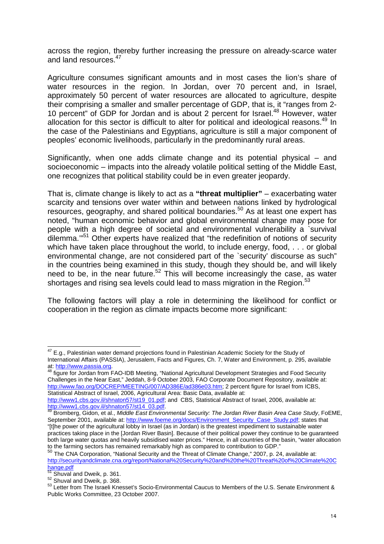across the region, thereby further increasing the pressure on already-scarce water and land resources.<sup>47</sup>

Agriculture consumes significant amounts and in most cases the lion's share of water resources in the region. In Jordan, over 70 percent and, in Israel, approximately 50 percent of water resources are allocated to agriculture, despite their comprising a smaller and smaller percentage of GDP, that is, it "ranges from 2- 10 percent" of GDP for Jordan and is about 2 percent for Israel.<sup>48</sup> However, water allocation for this sector is difficult to alter for political and ideological reasons.<sup>49</sup> In the case of the Palestinians and Egyptians, agriculture is still a major component of peoples' economic livelihoods, particularly in the predominantly rural areas.

Significantly, when one adds climate change and its potential physical – and socioeconomic – impacts into the already volatile political setting of the Middle East, one recognizes that political stability could be in even greater jeopardy.

That is, climate change is likely to act as a **"threat multiplier"** – exacerbating water scarcity and tensions over water within and between nations linked by hydrological resources, geography, and shared political boundaries.<sup>50</sup> As at least one expert has noted, "human economic behavior and global environmental change may pose for people with a high degree of societal and environmental vulnerability a `survival dilemma.'"<sup>51</sup> Other experts have realized that "the redefinition of notions of security which have taken place throughout the world, to include energy, food, . . . or global environmental change, are not considered part of the `security' discourse as such" in the countries being examined in this study, though they should be, and will likely need to be, in the near future.<sup>52</sup> This will become increasingly the case, as water shortages and rising sea levels could lead to mass migration in the Region. $53$ 

The following factors will play a role in determining the likelihood for conflict or cooperation in the region as climate impacts become more significant:

l

 $47$  E.g., Palestinian water demand projections found in Palestinian Academic Society for the Study of International Affairs (PASSIA), Jerusalem, Facts and Figures, Ch. 7, Water and Environment, p. 295, available at: http://www.passia.org.

<sup>48</sup> figure for Jordan from FAO-IDB Meeting, "National Agricultural Development Strategies and Food Security Challenges in the Near East," Jeddah, 8-9 October 2003, FAO Corporate Document Repository, available at: http://www.fao.org/DOCREP/MEETING/007/AD386E/ad386e03.htm; 2 percent figure for Israel from ICBS, Statistical Abstract of Israel, 2006, Agricultural Area: Basic Data, available at:

http://www1.cbs.gov.il/shnaton57/st19\_01.pdf; and CBS, Statistical Abstract of Israel, 2006, available at: http://www1.cbs.gov.il/shnaton57/st14\_03.pdf.

<sup>49</sup> Bromberg, Gidon, et al., Middle East Environmental Security: The Jordan River Basin Area Case Study, FoEME, September 2001, available at: http://www.foeme.org/docs/Environment\_Security\_Case\_Study.pdf; states that "[t]he power of the agricultural lobby in Israel (as in Jordan) is the greatest impediment to sustainable water practices taking place in the [Jordan River Basin]. Because of their political power they continue to be guaranteed both large water quotas and heavily subsidised water prices." Hence, in all countries of the basin, "water allocation to the farming sectors has remained remarkably high as compared to contribution to GDP."<br>
<sup>50</sup> The City C<sub>0</sub>

The CNA Corporation, "National Security and the Threat of Climate Change," 2007, p. 24, available at: http://securityandclimate.cna.org/report/National%20Security%20and%20the%20Threat%20of%20Climate%20C hange.pdf

 $\frac{51}{1}$  Shuval and Dweik, p. 361.

<sup>52</sup> Shuval and Dweik, p. 368.

<sup>53</sup> Letter from The Israeli Knesset's Socio-Environmental Caucus to Members of the U.S. Senate Environment & Public Works Committee, 23 October 2007.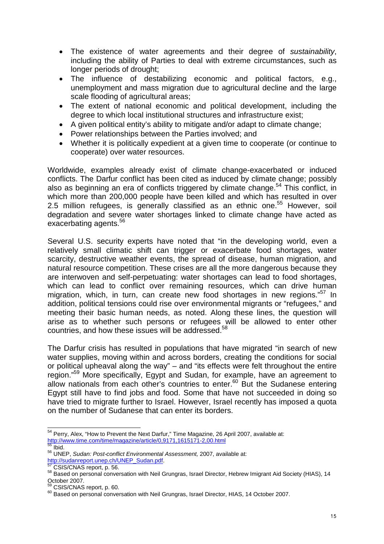- The existence of water agreements and their degree of sustainability, including the ability of Parties to deal with extreme circumstances, such as longer periods of drought;
- The influence of destabilizing economic and political factors, e.g., unemployment and mass migration due to agricultural decline and the large scale flooding of agricultural areas;
- The extent of national economic and political development, including the degree to which local institutional structures and infrastructure exist;
- A given political entity's ability to mitigate and/or adapt to climate change;
- Power relationships between the Parties involved; and
- Whether it is politically expedient at a given time to cooperate (or continue to cooperate) over water resources.

Worldwide, examples already exist of climate change-exacerbated or induced conflicts. The Darfur conflict has been cited as induced by climate change; possibly also as beginning an era of conflicts triggered by climate change.<sup>54</sup> This conflict, in which more than 200,000 people have been killed and which has resulted in over 2.5 million refugees, is generally classified as an ethnic one.<sup>55</sup> However, soil degradation and severe water shortages linked to climate change have acted as exacerbating agents.<sup>56</sup>

Several U.S. security experts have noted that "in the developing world, even a relatively small climatic shift can trigger or exacerbate food shortages, water scarcity, destructive weather events, the spread of disease, human migration, and natural resource competition. These crises are all the more dangerous because they are interwoven and self-perpetuating: water shortages can lead to food shortages, which can lead to conflict over remaining resources, which can drive human migration, which, in turn, can create new food shortages in new regions."<sup>57</sup> In addition, political tensions could rise over environmental migrants or "refugees," and meeting their basic human needs, as noted. Along these lines, the question will arise as to whether such persons or refugees will be allowed to enter other countries, and how these issues will be addressed.<sup>58</sup> 

The Darfur crisis has resulted in populations that have migrated "in search of new water supplies, moving within and across borders, creating the conditions for social or political upheaval along the way" – and "its effects were felt throughout the entire region."<sup>59</sup> More specifically, Egypt and Sudan, for example, have an agreement to allow nationals from each other's countries to enter.<sup>60</sup> But the Sudanese entering Egypt still have to find jobs and food. Some that have not succeeded in doing so have tried to migrate further to Israel. However, Israel recently has imposed a quota on the number of Sudanese that can enter its borders.

 $\overline{a}$  $54$  Perry, Alex, "How to Prevent the Next Darfur," Time Magazine, 26 April 2007, available at: http://www.time.com/time/magazine/article/0,9171,1615171-2,00.html<br>55 lbid

Ibid.

<sup>56</sup> UNEP, Sudan: Post-conflict Environmental Assessment, 2007, available at: http://sudanreport.unep.ch/UNEP\_Sudan.pdf.

<sup>&</sup>lt;sup>57</sup> CSIS/CNAS report, p. 56.

<sup>58</sup> Based on personal conversation with Neil Grungras, Israel Director, Hebrew Imigrant Aid Society (HIAS), 14 October 2007.

CSIS/CNAS report, p. 60.

<sup>60</sup> Based on personal conversation with Neil Grungras, Israel Director, HIAS, 14 October 2007.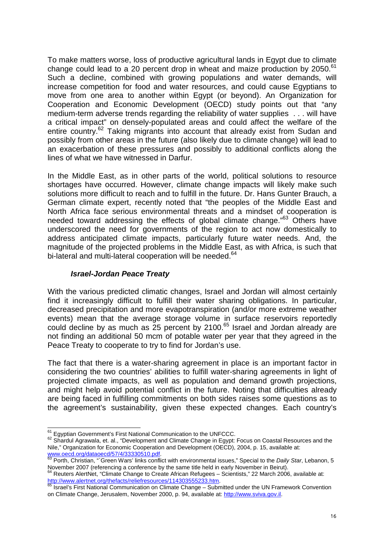To make matters worse, loss of productive agricultural lands in Egypt due to climate change could lead to a 20 percent drop in wheat and maize production by 2050. $61$ Such a decline, combined with growing populations and water demands, will increase competition for food and water resources, and could cause Egyptians to move from one area to another within Egypt (or beyond). An Organization for Cooperation and Economic Development (OECD) study points out that "any medium-term adverse trends regarding the reliability of water supplies . . . will have a critical impact" on densely-populated areas and could affect the welfare of the entire country.<sup>62</sup> Taking migrants into account that already exist from Sudan and possibly from other areas in the future (also likely due to climate change) will lead to an exacerbation of these pressures and possibly to additional conflicts along the lines of what we have witnessed in Darfur.

In the Middle East, as in other parts of the world, political solutions to resource shortages have occurred. However, climate change impacts will likely make such solutions more difficult to reach and to fulfill in the future. Dr. Hans Gunter Brauch, a German climate expert, recently noted that "the peoples of the Middle East and North Africa face serious environmental threats and a mindset of cooperation is needed toward addressing the effects of global climate change."<sup>63</sup> Others have underscored the need for governments of the region to act now domestically to address anticipated climate impacts, particularly future water needs. And, the magnitude of the projected problems in the Middle East, as with Africa, is such that bi-lateral and multi-lateral cooperation will be needed.<sup>64</sup>

#### **Israel-Jordan Peace Treaty**

With the various predicted climatic changes, Israel and Jordan will almost certainly find it increasingly difficult to fulfill their water sharing obligations. In particular, decreased precipitation and more evapotranspiration (and/or more extreme weather events) mean that the average storage volume in surface reservoirs reportedly could decline by as much as 25 percent by 2100.<sup>65</sup> Israel and Jordan already are not finding an additional 50 mcm of potable water per year that they agreed in the Peace Treaty to cooperate to try to find for Jordan's use.

The fact that there is a water-sharing agreement in place is an important factor in considering the two countries' abilities to fulfill water-sharing agreements in light of projected climate impacts, as well as population and demand growth projections, and might help avoid potential conflict in the future. Noting that difficulties already are being faced in fulfilling commitments on both sides raises some questions as to the agreement's sustainability, given these expected changes. Each country's

 $\overline{a}$  $61$  Egyptian Government's First National Communication to the UNFCCC.

<sup>62</sup> Shardul Agrawala, et. al., "Development and Climate Change in Egypt: Focus on Coastal Resources and the Nile," Organization for Economic Cooperation and Development (OECD), 2004, p. 15, available at: www.oecd.org/dataoecd/57/4/33330510.pdf.

<sup>63</sup> Porth, Christian, "Green Wars' links conflict with environmental issues," Special to the Daily Star, Lebanon, 5 November 2007 (referencing a conference by the same title held in early November in Beirut).

 $64$  Reuters AlertNet, "Climate Change to Create African Refugees - Scientists," 22 March 2006, available at: http://www.alertnet.org/thefacts/reliefresources/114303555233.htm.

<sup>65</sup> Israel's First National Communication on Climate Change – Submitted under the UN Framework Convention on Climate Change, Jerusalem, November 2000, p. 94, available at: http://www.sviva.gov.il.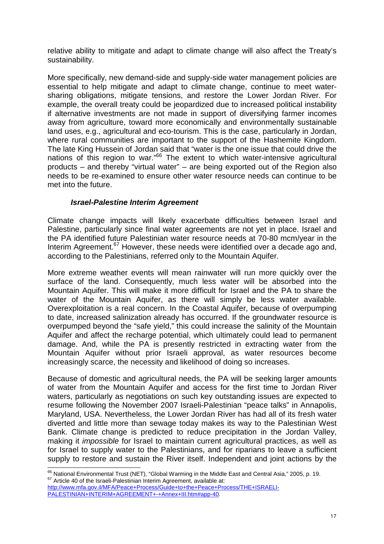relative ability to mitigate and adapt to climate change will also affect the Treaty's sustainability.

More specifically, new demand-side and supply-side water management policies are essential to help mitigate and adapt to climate change, continue to meet watersharing obligations, mitigate tensions, and restore the Lower Jordan River. For example, the overall treaty could be jeopardized due to increased political instability if alternative investments are not made in support of diversifying farmer incomes away from agriculture, toward more economically and environmentally sustainable land uses, e.g., agricultural and eco-tourism. This is the case, particularly in Jordan, where rural communities are important to the support of the Hashemite Kingdom. The late King Hussein of Jordan said that "water is the one issue that could drive the nations of this region to war."<sup>66</sup> The extent to which water-intensive agricultural products – and thereby "virtual water" – are being exported out of the Region also needs to be re-examined to ensure other water resource needs can continue to be met into the future.

#### **Israel-Palestine Interim Agreement**

Climate change impacts will likely exacerbate difficulties between Israel and Palestine, particularly since final water agreements are not yet in place. Israel and the PA identified future Palestinian water resource needs at 70-80 mcm/year in the Interim Agreement.<sup>67</sup> However, these needs were identified over a decade ago and, according to the Palestinians, referred only to the Mountain Aquifer.

More extreme weather events will mean rainwater will run more quickly over the surface of the land. Consequently, much less water will be absorbed into the Mountain Aquifer. This will make it more difficult for Israel and the PA to share the water of the Mountain Aquifer, as there will simply be less water available. Overexploitation is a real concern. In the Coastal Aquifer, because of overpumping to date, increased salinization already has occurred. If the groundwater resource is overpumped beyond the "safe yield," this could increase the salinity of the Mountain Aquifer and affect the recharge potential, which ultimately could lead to permanent damage. And, while the PA is presently restricted in extracting water from the Mountain Aquifer without prior Israeli approval, as water resources become increasingly scarce, the necessity and likelihood of doing so increases.

Because of domestic and agricultural needs, the PA will be seeking larger amounts of water from the Mountain Aquifer and access for the first time to Jordan River waters, particularly as negotiations on such key outstanding issues are expected to resume following the November 2007 Israeli-Palestinian "peace talks" in Annapolis, Maryland, USA. Nevertheless, the Lower Jordan River has had all of its fresh water diverted and little more than sewage today makes its way to the Palestinian West Bank. Climate change is predicted to reduce precipitation in the Jordan Valley, making it *impossible* for Israel to maintain current agricultural practices, as well as for Israel to supply water to the Palestinians, and for riparians to leave a sufficient supply to restore and sustain the River itself. Independent and joint actions by the

l

 $^{66}$  National Environmental Trust (NET), "Global Warming in the Middle East and Central Asia," 2005, p. 19. <sup>67</sup> Article 40 of the Israeli-Palestinian Interim Agreement, available at: http://www.mfa.gov.il/MFA/Peace+Process/Guide+to+the+Peace+Process/THE+ISRAELI-

PALESTINIAN+INTERIM+AGREEMENT+-+Annex+III.htm#app-40.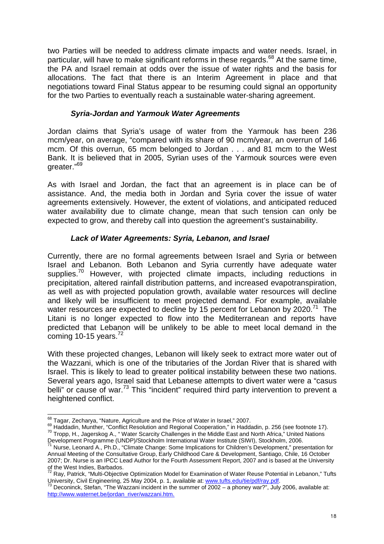two Parties will be needed to address climate impacts and water needs. Israel, in particular, will have to make significant reforms in these regards.<sup>68</sup> At the same time, the PA and Israel remain at odds over the issue of water rights and the basis for allocations. The fact that there is an Interim Agreement in place and that negotiations toward Final Status appear to be resuming could signal an opportunity for the two Parties to eventually reach a sustainable water-sharing agreement.

### **Syria-Jordan and Yarmouk Water Agreements**

Jordan claims that Syria's usage of water from the Yarmouk has been 236 mcm/year, on average, "compared with its share of 90 mcm/year, an overrun of 146 mcm. Of this overrun, 65 mcm belonged to Jordan . . . and 81 mcm to the West Bank. It is believed that in 2005, Syrian uses of the Yarmouk sources were even greater."<sup>69</sup>

As with Israel and Jordan, the fact that an agreement is in place can be of assistance. And, the media both in Jordan and Syria cover the issue of water agreements extensively. However, the extent of violations, and anticipated reduced water availability due to climate change, mean that such tension can only be expected to grow, and thereby call into question the agreement's sustainability.

### **Lack of Water Agreements: Syria, Lebanon, and Israel**

Currently, there are no formal agreements between Israel and Syria or between Israel and Lebanon. Both Lebanon and Syria currently have adequate water supplies.<sup>70</sup> However, with projected climate impacts, including reductions in precipitation, altered rainfall distribution patterns, and increased evapotranspiration, as well as with projected population growth, available water resources will decline and likely will be insufficient to meet projected demand. For example, available water resources are expected to decline by 15 percent for Lebanon by 2020.<sup>71</sup> The Litani is no longer expected to flow into the Mediterranean and reports have predicted that Lebanon will be unlikely to be able to meet local demand in the coming 10-15 years. $72$ 

With these projected changes, Lebanon will likely seek to extract more water out of the Wazzani, which is one of the tributaries of the Jordan River that is shared with Israel. This is likely to lead to greater political instability between these two nations. Several years ago, Israel said that Lebanese attempts to divert water were a "casus belli" or cause of war.<sup>73</sup> This "incident" required third party intervention to prevent a heightened conflict.

l  $^{68}$  Tagar, Zecharya, "Nature, Agriculture and the Price of Water in Israel," 2007.

<sup>69</sup> Haddadin, Munther, "Conflict Resolution and Regional Cooperation," in Haddadin, p. 256 (see footnote 17). <sup>70</sup> Tropp, H., Jagerskog A., " Water Scarcity Challenges in the Middle East and North Africa," United Nations Development Programme (UNDP)/Stockholm International Water Institute (SIWI), Stockholm, 2006.

Nurse, Leonard A., Ph.D., "Climate Change: Some Implications for Children's Development," presentation for Annual Meeting of the Consultative Group, Early Childhood Care & Development, Santiago, Chile, 16 October 2007; Dr. Nurse is an IPCC Lead Author for the Fourth Assessment Report, 2007 and is based at the University of the West Indies, Barbados.

<sup>&</sup>lt;sup>72</sup> Ray, Patrick, "Multi-Objective Optimization Model for Examination of Water Reuse Potential in Lebanon," Tufts University, Civil Engineering, 25 May 2004, p. 1, available at: www.tufts.edu/tie/pdf/ray.pdf.<br>73 December 2004, p. 1, available at: www.tufts.edu/tie/pdf/ray.pdf.

<sup>73</sup> Deconinck, Stefan, "The Wazzani incident in the summer of 2002 – a phoney war?", July 2006, available at: http://www.waternet.be/jordan\_river/wazzani.htm.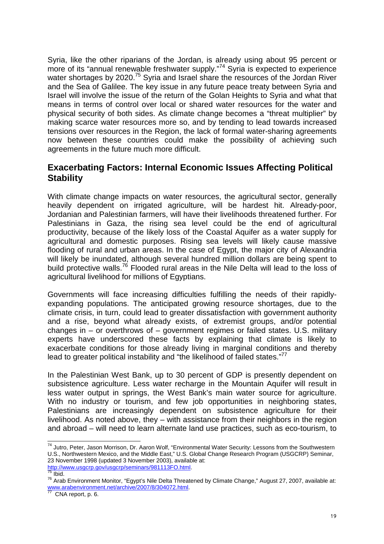Syria, like the other riparians of the Jordan, is already using about 95 percent or more of its "annual renewable freshwater supply."<sup>74</sup> Syria is expected to experience water shortages by 2020.<sup>75</sup> Syria and Israel share the resources of the Jordan River and the Sea of Galilee. The key issue in any future peace treaty between Syria and Israel will involve the issue of the return of the Golan Heights to Syria and what that means in terms of control over local or shared water resources for the water and physical security of both sides. As climate change becomes a "threat multiplier" by making scarce water resources more so, and by tending to lead towards increased tensions over resources in the Region, the lack of formal water-sharing agreements now between these countries could make the possibility of achieving such agreements in the future much more difficult.

## **Exacerbating Factors: Internal Economic Issues Affecting Political Stability**

With climate change impacts on water resources, the agricultural sector, generally heavily dependent on irrigated agriculture, will be hardest hit. Already-poor, Jordanian and Palestinian farmers, will have their livelihoods threatened further. For Palestinians in Gaza, the rising sea level could be the end of agricultural productivity, because of the likely loss of the Coastal Aquifer as a water supply for agricultural and domestic purposes. Rising sea levels will likely cause massive flooding of rural and urban areas. In the case of Egypt, the major city of Alexandria will likely be inundated, although several hundred million dollars are being spent to build protective walls.<sup>76</sup> Flooded rural areas in the Nile Delta will lead to the loss of agricultural livelihood for millions of Egyptians.

Governments will face increasing difficulties fulfilling the needs of their rapidlyexpanding populations. The anticipated growing resource shortages, due to the climate crisis, in turn, could lead to greater dissatisfaction with government authority and a rise, beyond what already exists, of extremist groups, and/or potential changes in  $-$  or overthrows of  $-$  government regimes or failed states. U.S. military experts have underscored these facts by explaining that climate is likely to exacerbate conditions for those already living in marginal conditions and thereby lead to greater political instability and "the likelihood of failed states."<sup>77</sup>

In the Palestinian West Bank, up to 30 percent of GDP is presently dependent on subsistence agriculture. Less water recharge in the Mountain Aquifer will result in less water output in springs, the West Bank's main water source for agriculture. With no industry or tourism, and few job opportunities in neighboring states, Palestinians are increasingly dependent on subsistence agriculture for their livelihood. As noted above, they – with assistance from their neighbors in the region and abroad – will need to learn alternate land use practices, such as eco-tourism, to

http://www.usgcrp.gov/usgcrp/seminars/981113FO.html.  $75$  Ibid.

 $\overline{a}$ <sup>74</sup> Jutro, Peter, Jason Morrison, Dr. Aaron Wolf, "Environmental Water Security: Lessons from the Southwestern U.S., Northwestern Mexico, and the Middle East," U.S. Global Change Research Program (USGCRP) Seminar, 23 November 1998 (updated 3 November 2003), available at:

<sup>76</sup> Arab Environment Monitor, "Egypt's Nile Delta Threatened by Climate Change," August 27, 2007, available at: www.arabenvironment.net/archive/2007/8/304072.html.

 $77$  CNA report, p. 6.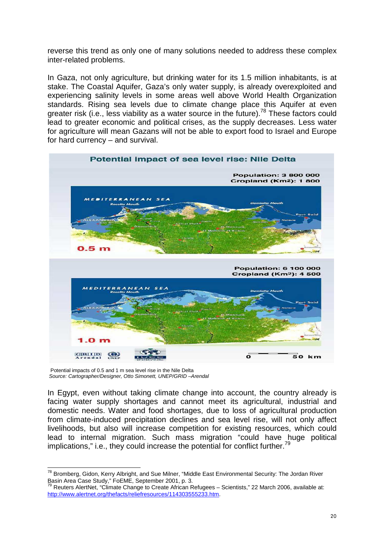reverse this trend as only one of many solutions needed to address these complex inter-related problems.

In Gaza, not only agriculture, but drinking water for its 1.5 million inhabitants, is at stake. The Coastal Aquifer, Gaza's only water supply, is already overexploited and experiencing salinity levels in some areas well above World Health Organization standards. Rising sea levels due to climate change place this Aquifer at even greater risk (i.e., less viability as a water source in the future).<sup>78</sup> These factors could lead to greater economic and political crises, as the supply decreases. Less water for agriculture will mean Gazans will not be able to export food to Israel and Europe for hard currency – and survival.



Potential impacts of 0.5 and 1 m sea level rise in the Nile Delta Source: Cartographer/Designer, Otto Simonett, UNEP/GRID –Arendal

In Egypt, even without taking climate change into account, the country already is facing water supply shortages and cannot meet its agricultural, industrial and domestic needs. Water and food shortages, due to loss of agricultural production from climate-induced precipitation declines and sea level rise, will not only affect livelihoods, but also will increase competition for existing resources, which could lead to internal migration. Such mass migration "could have huge political implications," i.e., they could increase the potential for conflict further.<sup>79</sup>

l <sup>78</sup> Bromberg, Gidon, Kerry Albright, and Sue Milner, "Middle East Environmental Security: The Jordan River Basin Area Case Study," FoEME, September 2001, p. 3.

<sup>79</sup> Reuters AlertNet, "Climate Change to Create African Refugees – Scientists," 22 March 2006, available at: http://www.alertnet.org/thefacts/reliefresources/114303555233.htm.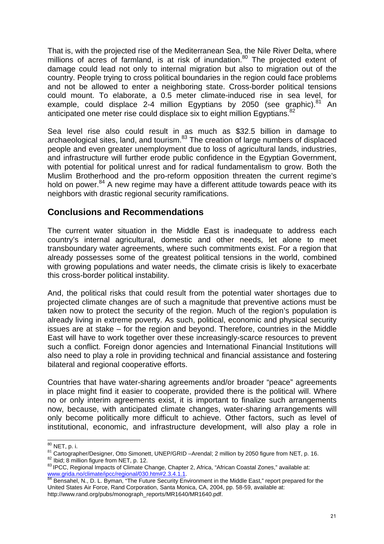That is, with the projected rise of the Mediterranean Sea, the Nile River Delta, where millions of acres of farmland, is at risk of inundation.<sup>80</sup> The projected extent of damage could lead not only to internal migration but also to migration out of the country. People trying to cross political boundaries in the region could face problems and not be allowed to enter a neighboring state. Cross-border political tensions could mount. To elaborate, a 0.5 meter climate-induced rise in sea level, for example, could displace 2-4 million Egyptians by 2050 (see graphic). $81$  An anticipated one meter rise could displace six to eight million Egyptians. $82$ 

Sea level rise also could result in as much as \$32.5 billion in damage to archaeological sites, land, and tourism.<sup>83</sup> The creation of large numbers of displaced people and even greater unemployment due to loss of agricultural lands, industries, and infrastructure will further erode public confidence in the Egyptian Government, with potential for political unrest and for radical fundamentalism to grow. Both the Muslim Brotherhood and the pro-reform opposition threaten the current regime's hold on power.<sup>84</sup> A new regime may have a different attitude towards peace with its neighbors with drastic regional security ramifications.

## **Conclusions and Recommendations**

The current water situation in the Middle East is inadequate to address each country's internal agricultural, domestic and other needs, let alone to meet transboundary water agreements, where such commitments exist. For a region that already possesses some of the greatest political tensions in the world, combined with growing populations and water needs, the climate crisis is likely to exacerbate this cross-border political instability.

And, the political risks that could result from the potential water shortages due to projected climate changes are of such a magnitude that preventive actions must be taken now to protect the security of the region. Much of the region's population is already living in extreme poverty. As such, political, economic and physical security issues are at stake – for the region and beyond. Therefore, countries in the Middle East will have to work together over these increasingly-scarce resources to prevent such a conflict. Foreign donor agencies and International Financial Institutions will also need to play a role in providing technical and financial assistance and fostering bilateral and regional cooperative efforts.

Countries that have water-sharing agreements and/or broader "peace" agreements in place might find it easier to cooperate, provided there is the political will. Where no or only interim agreements exist, it is important to finalize such arrangements now, because, with anticipated climate changes, water-sharing arrangements will only become politically more difficult to achieve. Other factors, such as level of institutional, economic, and infrastructure development, will also play a role in

 $\overline{a}$ <sup>80</sup> NET, p. i.

<sup>81</sup> Cartographer/Designer, Otto Simonett, UNEP/GRID –Arendal; 2 million by 2050 figure from NET, p. 16.

<sup>82</sup> Ibid; 8 million figure from NET, p. 12.

<sup>83</sup> IPCC, Regional Impacts of Climate Change, Chapter 2, Africa, "African Coastal Zones," available at: www.grida.no/climate/ipcc/regional/030.htm#2.3.4.1.1.

<sup>&</sup>lt;sup>84</sup> Bensahel, N., D. L. Byman, "The Future Security Environment in the Middle East," report prepared for the United States Air Force, Rand Corporation, Santa Monica, CA, 2004, pp. 58-59, available at: http://www.rand.org/pubs/monograph\_reports/MR1640/MR1640.pdf.